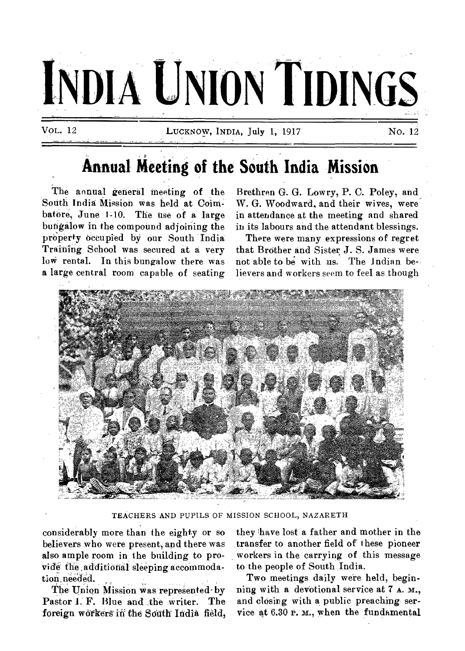

# **Annual Meeting of the South India Mission**

The annual general meeting of the South India Mission was held at Coimbatore, June 1-10. The use of a large bungalow in the compound adjoining the property occupied by our South India Training School was secured at a very low rental. In this bungalow there was a large central room capable of seating

Brethren G. G. Lowry, P. C. Poley, and, W. G. Woodward, and their wives, were in attendance at the meeting and shared in its labours and the attendant blessings.

There were many expressions of regret that Brother and Sister J. S. James were not able to be with us. The Indian believers and workers seem to feel as though



TEACHERS AND PUPILS OF MISSION SCHOOL, NAZARETH

considerably more than the eighty or so believers who were present, and there was also ample room in the building to provide the additional sleeping accommodation needed.

The Union Mission was represented by Pastor I: F. Blue and \_the writer. The foreign workers in the South India field, they have lost a father and mother in the transfer to another field of these pioneer workers in the carrying of this message to the people of South India.

Two meetings daily were held, beginning with a devotional service at 7 A. M., and closing with a public preaching service at  $6.30$  P. M., when the fundamental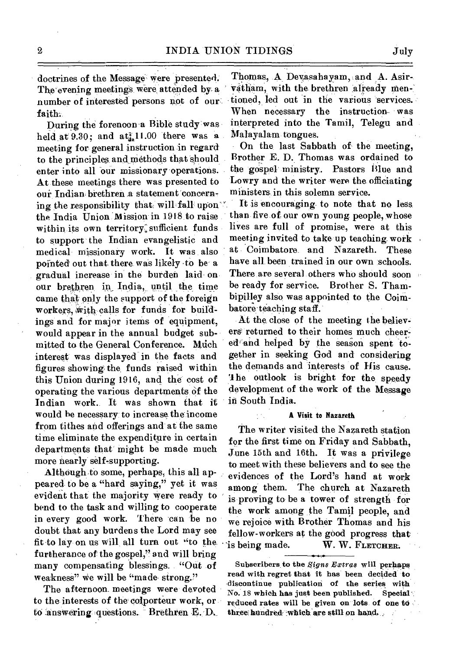doctrines of the Message were presented. The evening meetings were attended by a number of interested persons not of our faith..

During the forenoon a Bible study was held at  $9.30$ ; and  $at_{4}^{2}$ 11.00 there was a meeting for general instruction in regard to the principles and methods that should enter into all our missionary operations. At these meetings there was presented to our Indian brethren a statement concerning the responsibility that will fall upon the India Union Mission in 1918 to raise within its own territory: sufficient funds to support the Indian evangelistic and medical missionary work. It was also pointed' out that there was likely to be a gradual increase in the burden laid on our brethren in India, until the time came that only the support of the foreign workers, with calls for funds for buildings and for major items of equipment, would appear in the annual budget submitted to the General Conference. Much interest was displayed in the facts and figures showing the, funds raised within this Union during 1916, and the cost of operating the various departments of the Indian work.. It was shown that it would be necessary to increase the income from tithes and offerings and at the same time eliminate the expenditure in certain departments that' might be made much more nearly self-supporting.

Although to some, perhaps, this all appeared to be a "hard saying," yet it was evident that the majority were ready to bend to the task and willing to cooperate in every good work. There can be no doubt that any burdens the Lord may see fit to lay on us will, all turn out "to the. furtherance of the gospel," and will bring many compensating blessings. "Out of weakness" we will be "made-strong."

The afternoon. meetings were devoted to the interests of the colporteur work, or to answering questions. Brethren E. D.

Thomas., Devasahayam, and A. Asirvatham, with the brethren already mentioned, led out in the various services. When necessary the instruction- was interpreted into the Tamil, Telegu and Malayalam tongues.

On the last Sabbath of the meeting, Brother E. D. Thomas was ordained to the gospel' ministry. Pastors Blue and Lowry and the writer were the officiating ministers, in this solemn service.

It is encouraging to note that no less than five of our own young people, whose lives are full of promise, were at this meeting invited to take up teaching work Coimbatore, and Nazareth. These have all been trained in our own schools. There are several others who should soon be ready for service. Brother S. Thambipilley also was appointed to the Coimbatore teaching staff.

At the close of the meeting the believers returned to their homes much cheered and helped by the season spent together in seeking God and considering the demands and 'interests of His cause. The outlook is bright for the speedy development of the work of the Message in South India.

#### **A** Viait to Nazareth

The writer visited the Nazareth station for the first time on Friday and Sabbath, June 15th and 16th. It was a privilege to meet with these believers and to see the evidences of the Lord's hand at work among them. The church at Nazareth is proving to be a tower of strength for the work among the Tamil people, and we rejoice with Brother Thomas and his fellow-workers at the good progress that  $\gamma$  is being made. W. W. FLETCHER.

Subscribers to the Signs Extras will perhaps read with regret that it has' been decided to discontinue publication of the series with No. 18 which has just been published. Special reduced rates will be given on lots of one to three hundred which are still on hand,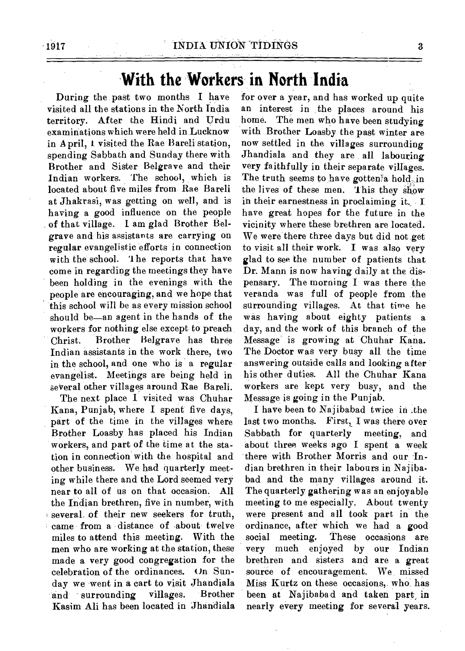## **With the Workers in North India**

During the past two months I have visited all the stations in the North India territory. After the Hindi and Urdu examinations which were held in Lucknow in April, 1 visited the Rae Bareli station, spending Sabbath and Sunday there with Brother and Sister Belgrave and their Indian workers. The school, which is located about five miles from Rae Bareli at Jhakrasi, was getting on well, and is having a good influence on the people of that village. I am glad Brother Belgrave and his assistants are carrying on regular evangelistic efforts in connection with the school. '1 he reports that have come in regarding the meetings they have been holding in the evenings with the people are encouraging, and we hope that this school will be as every mission school should be—an agent in the hands of the workers for nothing else except to preach Christ. Brother Belgrave has three Indian assistants in the work there, two in the school, and one who is a regular evangelist. Meetings are being held in several other villages around Rae Bareli.

The next place I visited was Chuhar Kana, Punjab, where I spent five days, part of the time in the villages where Brother Loasby has placed his Indian workers, and part of the time at the station in connection with the hospital and other business. We had quarterly meeting while there and the Lord seemed very near to all of us on that occasion. All the Indian brethren, five in number, with several, of their new seekers for truth, came from a distance of about twelve miles to attend this meeting. With the men who are working at the station, these made a very good congregation for the celebration of the ordinances. On Sunday we went in a cart to visit Jhandiala and surrounding villages. Brother Kasim Ali has been located in Jhandiala

for over a year, and has worked up quite an interest in the places around his home. The men who have been studying with Brother Loasby the past winter are now settled in the villages surrounding Jhandiala and they are all labouring very faithfully in their separate villages. The truth seems to have gotten a hold in the lives of these men. This they show in their earnestness in proclaiming it. I have great hopes for the future in the vicinity where these brethren are located. We were there three days but did not get to visit all their work. I was also very glad to see the number of patients that Dr. Mann is now having daily at the dispensary. The morning I was there the veranda was full of people from the surrounding villages. At that time he was having about eighty patients a day, and the work of this branch of the Message is growing at Chuhar Kana. The Doctor was very busy all the time answering outside calls and looking after his other duties. All the Chuhar Kana workers are kept very busy, and the Message is going in the Punjab.

I have been to Najibabad twice in .the last two months. First, I was there over Sabbath for quarterly meeting, and about three weeks ago I spent a week there with Brother Morris and our Indian brethren in their labours in Najibabad and the many villages around it. The quarterly gathering was an enjoyable meeting to me especially. About twenty were present and all took part in the ordinance, after which we had a good social meeting. These occasions are very much enjoyed by our Indian brethren and sisters and are a great source of encouragement. We missed Miss Kurtz on these occasions, who has been at Najibabad and taken part, in nearly every meeting for several years.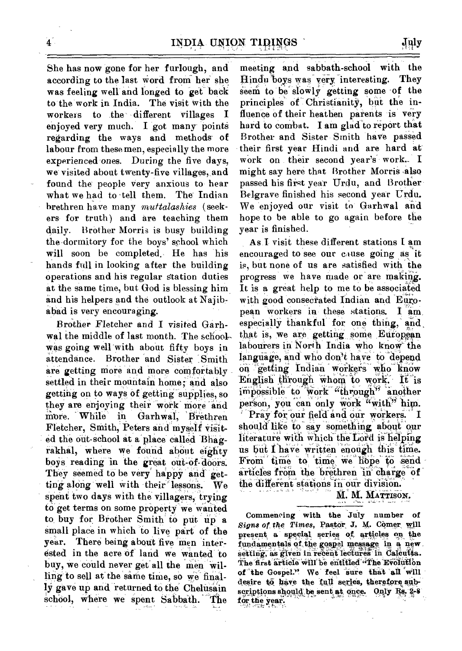She has now gone for her furlough, and according to the last word from her she was feeling well and longed to get back to'the work in India. The Visit with the workers to the different villages I enjoyed very much. I got many points regarding the ways and methods of labour from these men, especially the more experienced ones. During the five days, we visited about twenty-five villages, and found the people very anxious to hear what we had to tell them. The Indian brethren have many *muttalashies* (seekers for truth) and are teaching them daily. Brother Morris is busy building the-dormitory for the boys' school which will soon be completed. He has his hands full in looking after the building operations and his regular station duties at the same time, but God is blessing him. and his helpers and the outlook at Najibabad is very encouraging.

Brother Fletcher and I visited Garhwal the middle of last month. The schoolwas going well with about fifty boys in attendance. Brother and Sister Smith are getting more and more comfortably settled in their mountain home; and also getting on to ways of getting supplies, so getting on to ways of getting supplies, so<br>they are enjoying their work more and<br>more While in Garhwal, Brethren more. While in Garhwal, Brethren Fletcher, Smith, Peters and myself visited the out-school at a place-called Bhagrakhal, where we found about eighty boys reading in the great out-of-doors. They seemed to be very happy and getting along well with their lessons. We spent two days with the villagers, trying to get terms on some property we wanted to buy for Brother Smith to put up a small place in which to live part of the year. There being about five men interested in the acre of land we wanted to buy, we could never get all the men willing to sell at the same time, so we finally gave up and returned to the Chelusain school, where we spent Sabbath. The

meeting and sabbath-school with the flindu'boys was' very 'interesting. They Seem to be' sloWly getting some of the principles of Christianity, but the influence of their heathen parents is very hard to combat. I am glad to report that Brother and Sister Smith have passed their first year Hindi and are hard at work on their second year's work. I might say here that Brother Morris •also passed his first year Urdu, and Brother Belgrave finished his second year Urdu. We enjoyed our visit to Garhwal and hope to be able to go again before the year is finished.

As I visit these different stations I am encouraged to see our cause going as it is, but none of us are satisfied with the progress we have made or are making. It is a great help to me to be associated with good consecrated Indian and European workers in these stations. I am, especially thankful for one thing, and that is, we are getting some European labourers in North India who know the language, and who don't have to depend On 'getting Indian workers who know English through whom to work. It is impossible to work "through" another person, you can only work "with" him. Pray for our field and our workers. I should like to say something about our literature with which the Lord is helping us but I have written enough this time. From time to time we hope to send articles trona the brethren in charge Of the different stations in our division.

M. M. MATTISON.

Commencing with the July number of *signs of the Times,* Paktor J. M. Comer will present a special series of articles on the fundamentals of the gospel message in a new setting, as given in recent lectures in Calcutta. The first article will be entitled "The Evolution of the Gospel." We feel sure that all will desire to have the full series, therefore subscriptions should be sent at once. Only Rs. 2-8 for the year.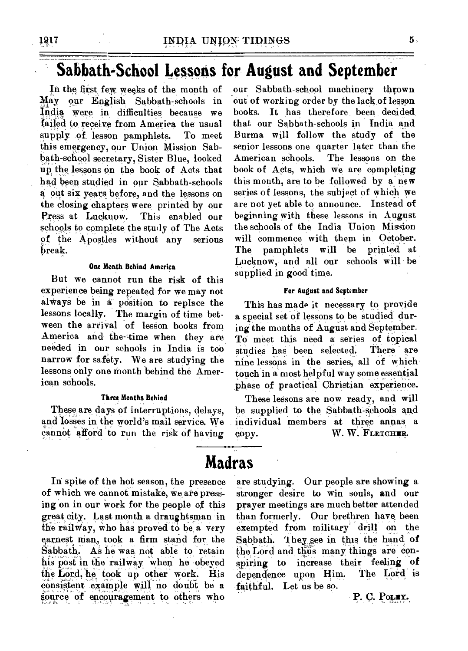### **Sabbath-School Lessons for August and September**

In the first few weeks of the month of May our English Sabbath-schools in India were in difficulties because we failed to receive from America the usual supply of lesson pamphlets. To meet this emergency, our Union Mission Sabbath-school secretary, Sister Blue, looked up the, lessons on the book of Acts that had been studied in our Sabbath-schools out six years before, and the lessons on the closing chapters were printed by our Press at Lucknow. This enabled our schools to complete the study of The Acts of the Apostles without any serious break.

### **One Month Behind America**

But we cannot run the risk of this experience being repeated for we may not always be in a position to replace the lessons locally. The margin of time between the arrival of lesson books from America and the-time when they are needed in our schools in India is too narrow for safety. We are studying the lessons only one month behind the American schools.

### **Three Months Behind**

These are days of interruptions, delays, and losses in the world's mail service. We cannot afford to run the risk of having

In spite of the hot season, the presence of which we cannot mistake, we are pressing on in our work for the people of this great city. Last month a draughtsman in the railWay, who has proved to be a very earnest man, took a firm stand for the Sabbath. As he was not able to retain his post in the railway when he obeyed the Lord, he took up other work. His consistent example will no doubt be a Source of encouragement to others who

our Sabbath-school machinery thrown out of working order by the lack of lesson books. It has therefore been decided\_ that our Sabbath-schools in India and Burma will follow the study of the senior lessons one quarter later than the American schools. The lessons on the book of Acts, which we are completing this month, are to be followed by a new series of lessons, the subject of which we are not yet able to announce. Instead of beginning with these lessons in August the schools of the India Union Mission will commence with them in October. The pamphlets will be printed at Lucknow, and all our schools will be supplied in good time.

#### **For August and September**

This has made it necessary to proyide a special set of lessons to be studied during the months of August and September. TO meet this need a series of topical studies has been selected. There are nine lessons in the series, all of which touch in a most helpful way some essential phase of practical Christian experience.

These lessons are now ready, and will be supplied to the Sabbath-Schools and individual members at three annas a copy. W. W. FLETCHER.

### **Madras**

are studying. Our people are showing a stronger desire to win souls, and our prayer meetings are much better attended than formerly. Our brethren have been exempted from military drill on the Sabbath. They see in this the hand of the Lord and thus many things are conspiring to increase their feeling of dependence upon Him. The Lord is faithful. Let us be so.

P. C. Pouly.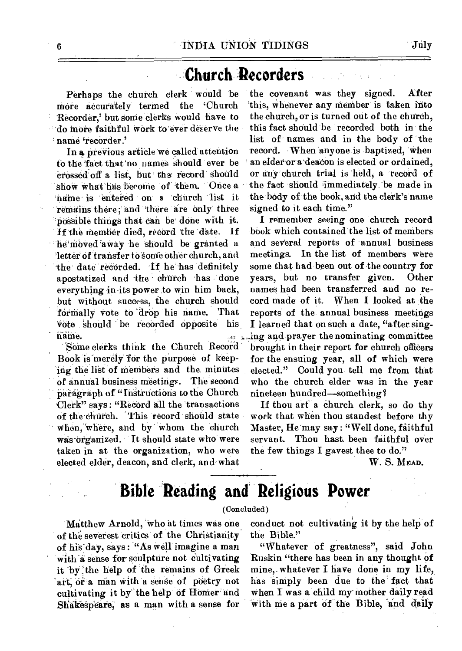## **Church Recorders**

more accurately termed the 'Church 'this, whenever any member is taken into<br>Recorder,' but some clerks would have to the church, or is turned out of the church, Recorder,' but some clerks would have to 'do more faithful work to ever deserve the this fact should be recorded both in the name 'recorder.' list of • names and in the 'body of the

to the fact that no names should ever be ' an elder or a deacon is elected or ordained, 'Crossed'off' a list, but' than record' should or any church trial is 'held, a record of show what has become 'of 'them. 'Once a the fact should immediately. be made in `tisane is 'entered on a 'church 'list it remains there; and there are only three possible things that can be done with it. If the member died, record the date. If he moved away he should be granted a 'letter cif 'transfer to 'some Other church, and the date recorded. If he has definitely apostatized and the church has done everything in its power to win him back, but without success, the church should formally vote to drop his name. That vote should be recorded opposite his name.

SOMe clerks think the Church Record Book is merely for the purpose of keeping the list of members and the minutes of annual business meetings. The second Paragraph of "Instructions to the Church Clerk" says : "RecOrd all the 'transactions of the church. This record should state When, 'where, and by 'whom the church was-organized. It should state who were taken in at the organization, who were elected elder, deacon, and clerk, and what

Perhaps the church clerk would be the covenant was they signed. After<br>ore accurately termed the 'Church 'this, whenever any member is taken into In a previous article we called attention 'record. When anyone is baptized, when the body of the book, and the clerk's name signed to it each time."

> I remember seeing one church record book which contained the list of members and several reports of annual business meetings. In the list of members were some that had been out of the country for years, but no transfer given. Other names had been transferred and no record made of it. When I looked at the reports of the annual business meetings I learned that on such a date, "after *singing* and prayer the nominating committee brought in their report for church officers for the ensuing year, all of which were elected." Could you tell me from that who the church elder was in the year nineteen hundred—something?

> If thou art a church clerk, so do thy work that when thou standest before thy Master, He may say : "Well done, faithful servant. Thou hast. been faithful over the few things I gavest thee to do."

> > W. S. **MEAD.**

# **Bible Reading and Religious Power**

### (Concluded)

Matthew Arnold, who at times was one of the severest critics of the Christianity of his day, says : '"As well imagine a man with a sense for sculpture not cultivating it by the help of the remains of Greek art, or a man with a sense of poetry not cultivating it by the help of Homer and Shakespeare, as a man with a sense for

conduct not cultivating it by the help of the Bible."

"Whatever of greatness", said John Ruskin "there has been in any thought of mine,-whatever I have done in my life, has simply been due to the' fact that when I was a child my mother daily read with me a part of the Bible, and daily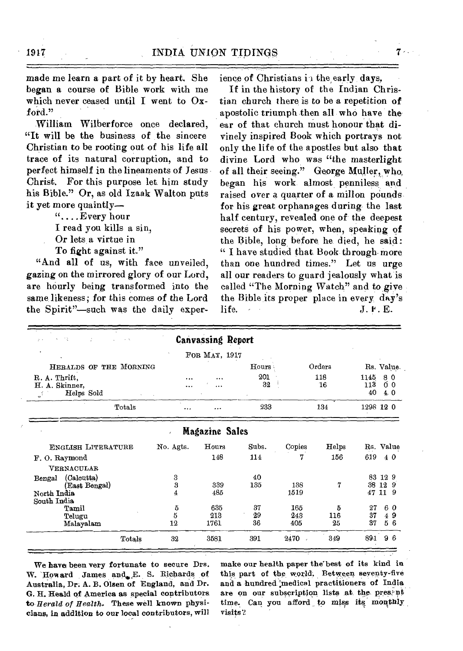made me learn a part of it by heart. She began a course of Bible work with me which never ceased until I went to Oxford."

William Wilberforce once declared, "It will be the business of the sincere Christian to be rooting out of his life all trace of its natural corruption, and to perfect himself in the lineaments of Jesus Christ. For this purpose let him study his Bible." Or, as old Izaak Walton puts it yet more quaintly—

"....Every hour

I read you kills a sin,

- Or lets a virtue in
- To fight against it."

"And all of us, with face unveiled, gazing on the mirrored glory of our Lord, are hourly being transformed into the same likeness; for this comes of the Lord the Spirit"-such was the daily experience of Christians in the early days.

If in the history of the Indian Christian church there is to be a repetition of apostolic triumph then all who have the ear of that church must honour that **divinely** inspired Book which portrays not only the life of the apostles but also that divine Lord who was "the masterlight of all their seeing." George Muller, who, began his work almost penniless and raised over a quarter of a millon pounds for his great orphanages during the last half century, revealed one of the deepest secrets of his power, when, speaking of the Bible, long before he died, he said: " I have studied that Book through more than one hundred times." Let us urge all our readers to guard jealously what is called "The Morning Watch" and to give the Bible its proper place in every, day's life.  $J. \mathbf{F} \cdot \mathbf{E}$ .

| 大臣<br>÷                                            |           | <b>Canvassing Report</b> |           |             |       |                   |                         |    |
|----------------------------------------------------|-----------|--------------------------|-----------|-------------|-------|-------------------|-------------------------|----|
|                                                    |           | FOR MAY, 1917            |           |             |       |                   |                         |    |
| HERALDS OF THE MORNING                             |           |                          | Hours :   | Orders      |       | Rs. Value.        |                         |    |
| R. A. Thrift.<br>H. A. Skinner,<br>Helps Sold<br>⋰ |           | <br>                     | 201<br>32 | 118<br>16   |       | 1145<br>113<br>40 | 80<br>Õθ<br>4.0         |    |
| Totals                                             |           |                          | 233       | 134         |       | 1298 12 0         |                         |    |
| Magazine Sales<br>$\lambda$                        |           |                          |           |             |       |                   |                         |    |
| <b>ENGLISH LITERATURE</b>                          | No. Agts. | Hours                    | Subs.     | Copies      | Helps | Rs. Value         |                         |    |
| F.O. Raymond                                       |           | 148                      | 114       | 7           | 156   | 619               | 40                      |    |
| VERNACULAR                                         |           |                          |           |             |       |                   |                         |    |
| (Calcutta)<br>Bengal                               | 3         |                          | 40        |             |       |                   | 83 12 9                 |    |
| (East Bengal)<br>North India<br>South India        | 3<br>4    | 339<br>485               | 135       | 138<br>1519 | 7     | 38<br>47          | 12 <sup>9</sup><br>11 9 |    |
| Tamil                                              | 5         | 635                      | 37        | 165         | 5     | 27                | 60                      |    |
| Telugu                                             | 5         | 213                      | 29        | 243         | 116   | 37                |                         | 49 |
| Malayalam                                          | 12        | 1761                     | 36        | 405         | 25    | 37                | 56                      |    |
| Totals                                             | 32        | 3581                     | 391       | $2470 -$    | 349   | 891               | 96                      |    |

We have been very fortunate to secure Drs. W. Howard James and E. S. Richards of Australia, Dr. A. B. Olsen of England, and Dr. G. H. Heald of America as special contributors to *Herald of Health.* These well known physicians, in addition to our local contributors, will make our health paper the'best of its kind in this part of the world. Between seventy-five and a hundred medical practitioners of India are on our subscription lists at the pres-nt time. Can you afford to miss its monthly visits?